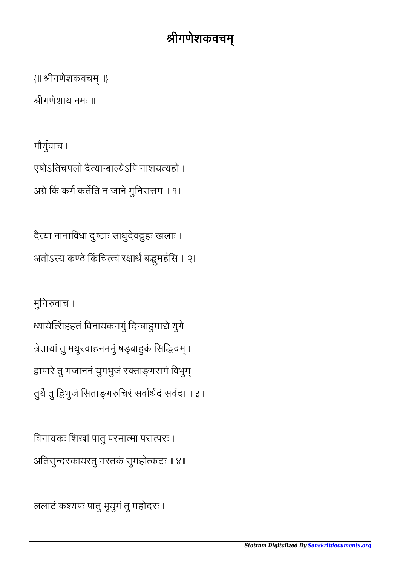ललाटं कयपः पातु भृयुगं तु महोदरः ।

विनायकः शिखां पातु परमात्मा परात्परः । अतिसुन्दरकायस्तु मस्तकं सुमहोत्कटः ॥ ४॥

मुनिरुवाच । ध्यायेत्सिंहहतं विनायकममुं दिग्बाहुमाद्ये युगे त्रेतायां तु मयूरवाहनममुं षड्बाहुकं सिद्धिदम् । द्वापारे तु गजाननं युगभुजं रक्ताङ्गरागं विभुम् तुर्ये तु द्विभुजं सिताङ्गरुचिरं सर्वर्धिदं सर्वदा ॥ ३॥

दैया नानािवधा दुटाः साधुदेवुहः खलाः । अतोऽस्य कण्ठे किंचित्त्त्वं रक्षार्थं बद्धुमर्हसि ॥ २॥

गौयुवाच । एषोऽितचपलो दैयाबायेऽिप नाशययहो । अग्रे किं कर्म कर्तेति न जाने मुनिसत्तम ॥ १॥

ीगणेशाय नमः ॥

{॥ ीगणेशकवच ॥}

## श्रीगणेशकवचम्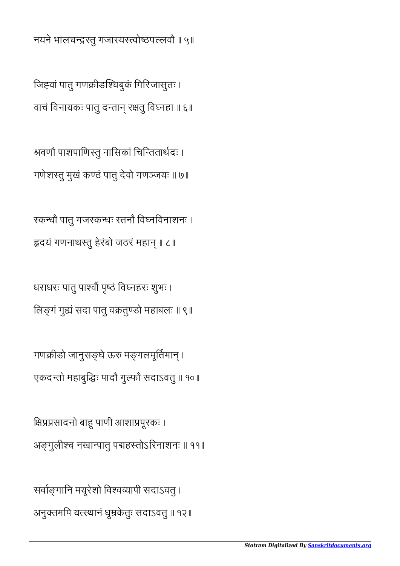सर्वाङ्गानि मयूरेशो विश्वव्यापी सदाऽवतु । अनुतमिप यथानं धूके तुः सदाऽवतु ॥ १२॥

क्षिप्रप्रसादनो बाहू पाणी आशाप्रपूरकः । अङ्गूलीश्च नखान्पातु पद्महस्तोऽरिनाशनः ॥ ११॥

गणक्रीडो जानुसङ्घे ऊरु मङ्गलमूर्तिमान् । एकदतो महाबुिः पादौ गुफौ सदाऽवतु ॥ १०॥

धराधरः पातु पाश्वों पृष्ठं विघ्नहरः शुभः । लिङ्गं गुद्यं सदा पातु वक्रतुण्डो महाबलः ॥ ९॥

रकन्धौ पात् गजस्कन्धः स्तनौ विघ्नविनाशनः । हृदयं गणनाथस्तु हेरंबो जठरं महान् ॥ ८॥

श्रवणौ पाशपाणिस्तु नासिकां चिन्तितार्थदः । गणेशतु मुखं कठं पातु देवो गणजयः ॥ ७॥

जिह्वां पातु गणक्रीडश्चिबुकं गिरिजासुतः । वाचं विनायकः पातु दन्तान् रक्षतु विघ्नहा ॥ ६॥

नयने भालचन्द्रस्तु गजास्यस्त्वोष्ठपल्लवौ ॥ ५॥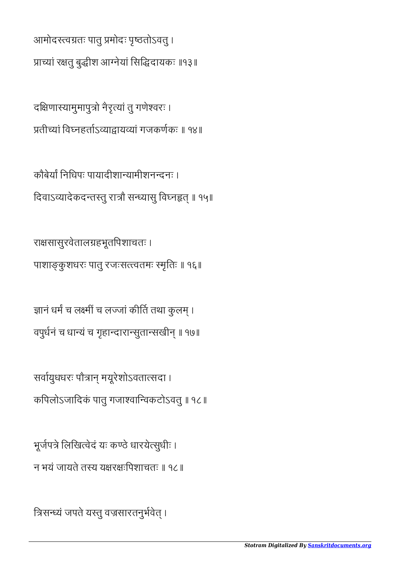राक्षसासुरवेतालग्रहभूतपिशाचतः ।

कौबेर्यां निधिपः पायादीशान्यामीशनन्दनः । दिवाऽव्यादेकदन्तस्तु रात्रौ सन्ध्यासु विघ्नहृत् ॥ १५॥

पाशाङ्कुशधरः पातु रजःसत्त्वतमः स्मृतिः ॥ १६॥

ज्ञानं धर्मं च लक्ष्मीं च लज्जां कीर्ति तथा कुलम् ।

वपुर्धनं च धान्यं च गृहान्दारान्सुतान्सखीन् ॥ १७॥

किपलोऽजािदकं पातु गजावािवकटोऽवतु ॥ १८॥

सर्वायुधधरः पौत्रान् मयूरेशोऽवतात्सदा ।

भूर्जपत्रे लिखित्वेदं यः कण्ठे धारयेत्सुधीः ।

न भयं जायते तस्य यक्षरक्षःपिशाचतः ॥ १८॥

दक्षिणास्यामुमापुत्रो नैरृत्यां तु गणेश्वरः । प्रतीच्यां विघ्नहर्ताऽव्याद्वायव्यां गजकर्णकः ॥ १४॥

आमोदरत्वग्रतः पातु प्रमोदः पृष्ठतोऽवतु । प्राच्यां रक्षतु बुद्धीश आग्नेयां सिद्धिदायकः ॥१३॥

*Stotram Digitalized By [Sanskritdocuments.org](http://sanskritdocuments.org/)*

त्रिसन्ध्यं जपते यस्तु वज्रसारतनुर्भवेत् ।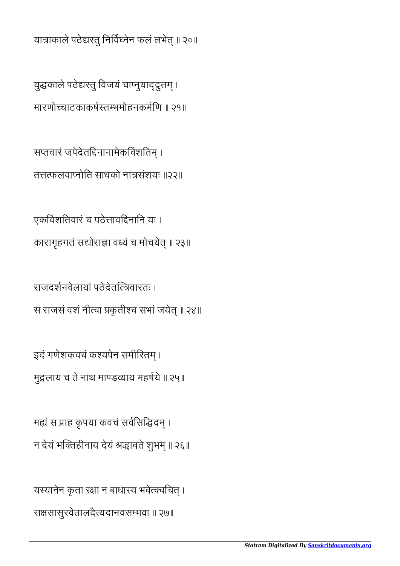यस्यानेन कृता रक्षा न बाधास्य भवेत्क्वचित् । रासासुरवेतालदैयदानवसभवा ॥ २७॥

मह्यं स प्राह कृपया कवचं सर्वसिद्धिदम् । न देयं भक्तिहीनाय देयं श्रद्धावते शुभम् ॥ २६॥

इदं गणेशकवचं कश्यपेन समीरितम् । मुलाय च ते नाथ माडयाय महषये ॥ २५॥

राजदशनवेलायां पठेदेतवारतः । स राजसं वशं नीत्वा प्रकृतीश्च सभां जयेत् ॥ २४॥

एकविंशतिवारं च पठेत्तावद्दिनानि यः । कारागृहगतं सद्योराज्ञा वध्यं च मोचयेत् ॥ २३॥

सप्तवारं जपेदेतद्दिनानामेकविंशतिम् । तफलवानोित साधको नासंशयः ॥२२॥

युद्धकाले पठेद्यरतु विजयं चाप्नुयाद्द्रुतम् । मारणोचाटकाकषतभमोहनकमिण ॥ २१॥

यात्राकाले पठेद्यस्तु निर्विघ्नेन फलं लभेत् ॥ २०॥